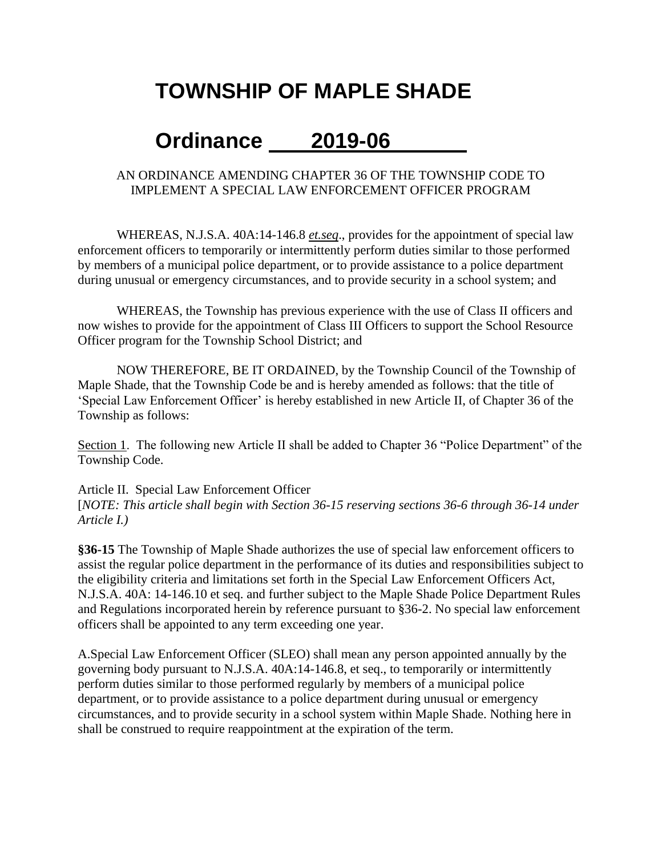# **TOWNSHIP OF MAPLE SHADE**

# **Ordinance 2019-06**

### AN ORDINANCE AMENDING CHAPTER 36 OF THE TOWNSHIP CODE TO IMPLEMENT A SPECIAL LAW ENFORCEMENT OFFICER PROGRAM

WHEREAS, N.J.S.A. 40A:14-146.8 *et.seq*., provides for the appointment of special law enforcement officers to temporarily or intermittently perform duties similar to those performed by members of a municipal police department, or to provide assistance to a police department during unusual or emergency circumstances, and to provide security in a school system; and

WHEREAS, the Township has previous experience with the use of Class II officers and now wishes to provide for the appointment of Class III Officers to support the School Resource Officer program for the Township School District; and

NOW THEREFORE, BE IT ORDAINED, by the Township Council of the Township of Maple Shade, that the Township Code be and is hereby amended as follows: that the title of 'Special Law Enforcement Officer' is hereby established in new Article II, of Chapter 36 of the Township as follows:

Section 1. The following new Article II shall be added to Chapter 36 "Police Department" of the Township Code.

Article II. Special Law Enforcement Officer [*NOTE: This article shall begin with Section 36-15 reserving sections 36-6 through 36-14 under Article I.)*

**§36-15** The Township of Maple Shade authorizes the use of special law enforcement officers to assist the regular police department in the performance of its duties and responsibilities subject to the eligibility criteria and limitations set forth in the Special Law Enforcement Officers Act, N.J.S.A. 40A: 14-146.10 et seq. and further subject to the Maple Shade Police Department Rules and Regulations incorporated herein by reference pursuant to §36-2. No special law enforcement officers shall be appointed to any term exceeding one year.

A.Special Law Enforcement Officer (SLEO) shall mean any person appointed annually by the governing body pursuant to N.J.S.A. 40A:14-146.8, et seq., to temporarily or intermittently perform duties similar to those performed regularly by members of a municipal police department, or to provide assistance to a police department during unusual or emergency circumstances, and to provide security in a school system within Maple Shade. Nothing here in shall be construed to require reappointment at the expiration of the term.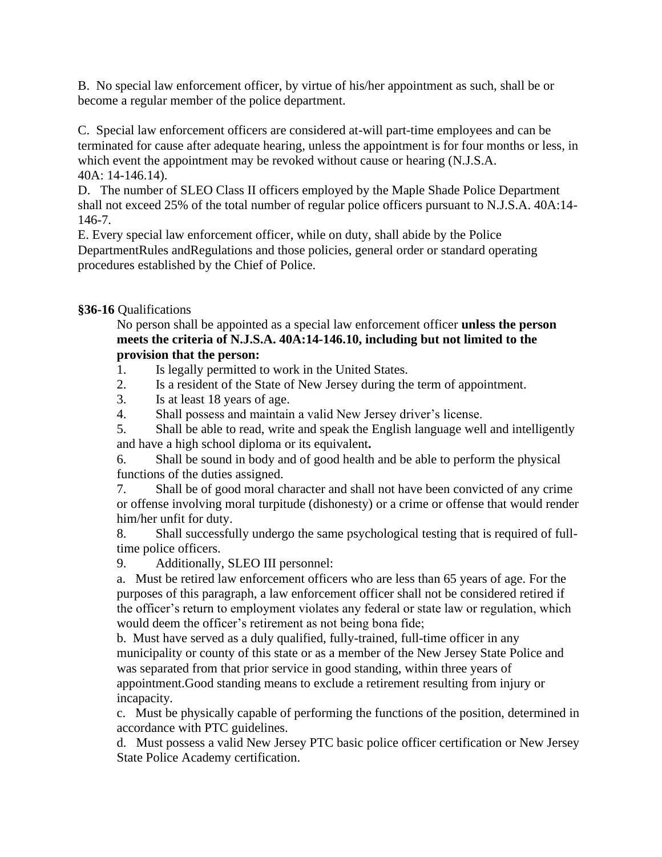B. No special law enforcement officer, by virtue of his/her appointment as such, shall be or become a regular member of the police department.

C. Special law enforcement officers are considered at-will part-time employees and can be terminated for cause after adequate hearing, unless the appointment is for four months or less, in which event the appointment may be revoked without cause or hearing (N.J.S.A. 40A: 14-146.14).

D. The number of SLEO Class II officers employed by the Maple Shade Police Department shall not exceed 25% of the total number of regular police officers pursuant to N.J.S.A. 40A:14- 146-7.

E. Every special law enforcement officer, while on duty, shall abide by the Police DepartmentRules andRegulations and those policies, general order or standard operating procedures established by the Chief of Police.

### **§36-16** Qualifications

No person shall be appointed as a special law enforcement officer **unless the person meets the criteria of N.J.S.A. 40A:14-146.10, including but not limited to the provision that the person:**

1. Is legally permitted to work in the United States.

2. Is a resident of the State of New Jersey during the term of appointment.

3. Is at least 18 years of age.

4. Shall possess and maintain a valid New Jersey driver's license.

5. Shall be able to read, write and speak the English language well and intelligently and have a high school diploma or its equivalent**.**

6. Shall be sound in body and of good health and be able to perform the physical functions of the duties assigned.

7. Shall be of good moral character and shall not have been convicted of any crime or offense involving moral turpitude (dishonesty) or a crime or offense that would render him/her unfit for duty.

8. Shall successfully undergo the same psychological testing that is required of fulltime police officers.

9. Additionally, SLEO III personnel:

a. Must be retired law enforcement officers who are less than 65 years of age. For the purposes of this paragraph, a law enforcement officer shall not be considered retired if the officer's return to employment violates any federal or state law or regulation, which would deem the officer's retirement as not being bona fide;

b. Must have served as a duly qualified, fully-trained, full-time officer in any municipality or county of this state or as a member of the New Jersey State Police and was separated from that prior service in good standing, within three years of appointment.Good standing means to exclude a retirement resulting from injury or incapacity*.*

c. Must be physically capable of performing the functions of the position, determined in accordance with PTC guidelines.

d. Must possess a valid New Jersey PTC basic police officer certification or New Jersey State Police Academy certification.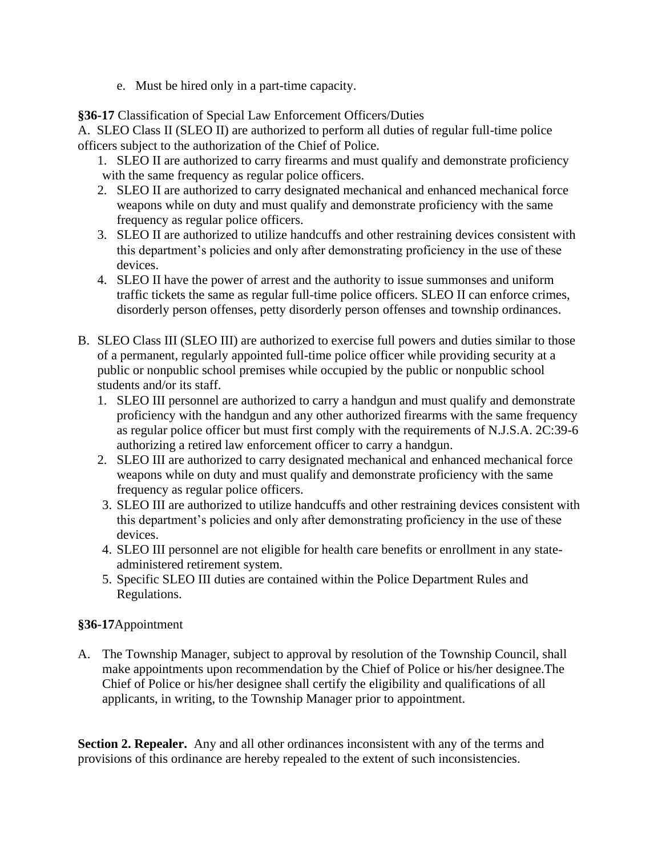e. Must be hired only in a part-time capacity.

**§36-17** Classification of Special Law Enforcement Officers/Duties

A. SLEO Class II (SLEO II) are authorized to perform all duties of regular full-time police officers subject to the authorization of the Chief of Police.

- 1. SLEO II are authorized to carry firearms and must qualify and demonstrate proficiency with the same frequency as regular police officers.
- 2. SLEO II are authorized to carry designated mechanical and enhanced mechanical force weapons while on duty and must qualify and demonstrate proficiency with the same frequency as regular police officers.
- 3. SLEO II are authorized to utilize handcuffs and other restraining devices consistent with this department's policies and only after demonstrating proficiency in the use of these devices.
- 4. SLEO II have the power of arrest and the authority to issue summonses and uniform traffic tickets the same as regular full-time police officers. SLEO II can enforce crimes, disorderly person offenses, petty disorderly person offenses and township ordinances.
- B. SLEO Class III (SLEO III) are authorized to exercise full powers and duties similar to those of a permanent, regularly appointed full-time police officer while providing security at a public or nonpublic school premises while occupied by the public or nonpublic school students and/or its staff.
	- 1. SLEO III personnel are authorized to carry a handgun and must qualify and demonstrate proficiency with the handgun and any other authorized firearms with the same frequency as regular police officer but must first comply with the requirements of N.J.S.A. 2C:39-6 authorizing a retired law enforcement officer to carry a handgun.
	- 2. SLEO III are authorized to carry designated mechanical and enhanced mechanical force weapons while on duty and must qualify and demonstrate proficiency with the same frequency as regular police officers.
	- 3. SLEO III are authorized to utilize handcuffs and other restraining devices consistent with this department's policies and only after demonstrating proficiency in the use of these devices.
	- 4. SLEO III personnel are not eligible for health care benefits or enrollment in any stateadministered retirement system.
	- 5. Specific SLEO III duties are contained within the Police Department Rules and Regulations.

### **§36-17**Appointment

A. The Township Manager, subject to approval by resolution of the Township Council, shall make appointments upon recommendation by the Chief of Police or his/her designee.The Chief of Police or his/her designee shall certify the eligibility and qualifications of all applicants, in writing, to the Township Manager prior to appointment.

**Section 2. Repealer.** Any and all other ordinances inconsistent with any of the terms and provisions of this ordinance are hereby repealed to the extent of such inconsistencies.